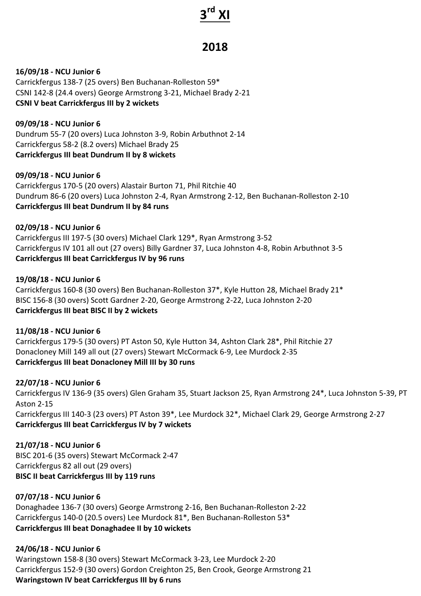# **3rd XI**

# **2018**

### **16/09/18 - NCU Junior 6**

Carrickfergus 138-7 (25 overs) Ben Buchanan-Rolleston 59\* CSNI 142-8 (24.4 overs) George Armstrong 3-21, Michael Brady 2-21 **CSNI V** beat Carrickfergus III by 2 wickets

**09/09/18 - NCU Junior 6** Dundrum 55-7 (20 overs) Luca Johnston 3-9, Robin Arbuthnot 2-14 Carrickfergus 58-2 (8.2 overs) Michael Brady 25 **Carrickfergus III beat Dundrum II by 8 wickets** 

#### **09/09/18 - NCU Junior 6**

Carrickfergus 170-5 (20 overs) Alastair Burton 71, Phil Ritchie 40 Dundrum 86-6 (20 overs) Luca Johnston 2-4, Ryan Armstrong 2-12, Ben Buchanan-Rolleston 2-10 **Carrickfergus III beat Dundrum II by 84 runs** 

# **02/09/18 - NCU Junior 6**

Carrickfergus III 197-5 (30 overs) Michael Clark 129\*, Ryan Armstrong 3-52 Carrickfergus IV 101 all out (27 overs) Billy Gardner 37, Luca Johnston 4-8, Robin Arbuthnot 3-5 **Carrickfergus III beat Carrickfergus IV by 96 runs** 

# **19/08/18 - NCU Junior 6**

Carrickfergus 160-8 (30 overs) Ben Buchanan-Rolleston 37\*, Kyle Hutton 28, Michael Brady 21\* BISC 156-8 (30 overs) Scott Gardner 2-20, George Armstrong 2-22, Luca Johnston 2-20 **Carrickfergus III beat BISC II by 2 wickets**

**11/08/18 - NCU Junior 6** Carrickfergus 179-5 (30 overs) PT Aston 50, Kyle Hutton 34, Ashton Clark 28\*, Phil Ritchie 27 Donacloney Mill 149 all out (27 overs) Stewart McCormack 6-9, Lee Murdock 2-35 **Carrickfergus III beat Donacloney Mill III by 30 runs** 

# **22/07/18 - NCU Junior 6**

Carrickfergus IV 136-9 (35 overs) Glen Graham 35, Stuart Jackson 25, Ryan Armstrong 24\*, Luca Johnston 5-39, PT Aston 2-15 Carrickfergus III 140-3 (23 overs) PT Aston 39\*, Lee Murdock 32\*, Michael Clark 29, George Armstrong 2-27 **Carrickfergus III beat Carrickfergus IV by 7 wickets** 

**21/07/18 - NCU Junior 6** BISC 201-6 (35 overs) Stewart McCormack 2-47 Carrickfergus 82 all out (29 overs) **BISC II beat Carrickfergus III by 119 runs** 

# **07/07/18 - NCU Junior 6**

Donaghadee 136-7 (30 overs) George Armstrong 2-16, Ben Buchanan-Rolleston 2-22 Carrickfergus 140-0 (20.5 overs) Lee Murdock 81\*, Ben Buchanan-Rolleston 53\* **Carrickfergus III beat Donaghadee II by 10 wickets** 

# **24/06/18 - NCU Junior 6**

Waringstown 158-8 (30 overs) Stewart McCormack 3-23, Lee Murdock 2-20 Carrickfergus 152-9 (30 overs) Gordon Creighton 25, Ben Crook, George Armstrong 21 **Waringstown IV beat Carrickfergus III by 6 runs**